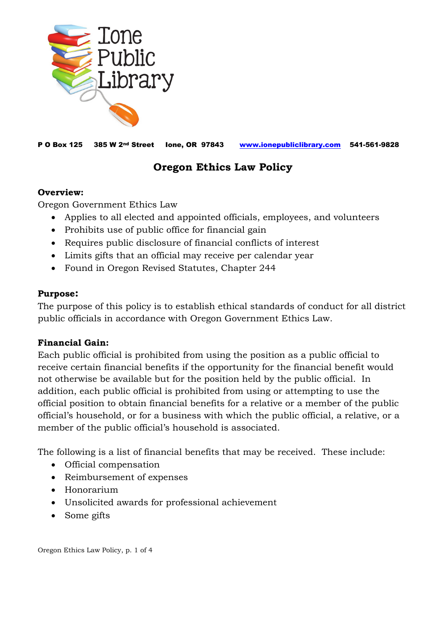

P O Box 125 385 W 2nd Street Ione, OR 97843 [www.ionepubliclibrary.com](http://www.ionepubliclibrary.com/) 541-561-9828

# **Oregon Ethics Law Policy**

#### **Overview:**

Oregon Government Ethics Law

- Applies to all elected and appointed officials, employees, and volunteers
- Prohibits use of public office for financial gain
- Requires public disclosure of financial conflicts of interest
- Limits gifts that an official may receive per calendar year
- Found in Oregon Revised Statutes, Chapter 244

#### **Purpose:**

The purpose of this policy is to establish ethical standards of conduct for all district public officials in accordance with Oregon Government Ethics Law.

#### **Financial Gain:**

Each public official is prohibited from using the position as a public official to receive certain financial benefits if the opportunity for the financial benefit would not otherwise be available but for the position held by the public official. In addition, each public official is prohibited from using or attempting to use the official position to obtain financial benefits for a relative or a member of the public official's household, or for a business with which the public official, a relative, or a member of the public official's household is associated.

The following is a list of financial benefits that may be received. These include:

- Official compensation
- Reimbursement of expenses
- Honorarium
- Unsolicited awards for professional achievement
- Some gifts

Oregon Ethics Law Policy, p. 1 of 4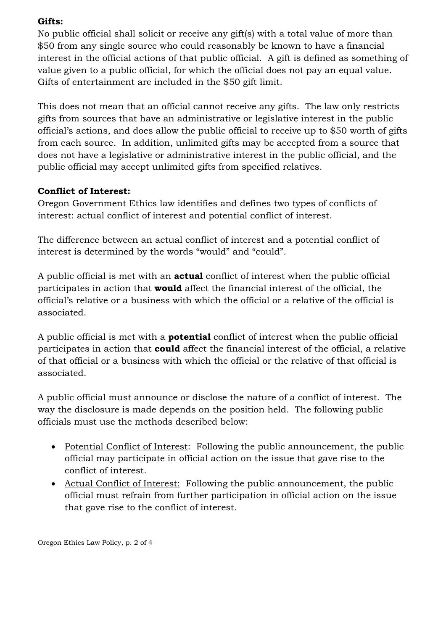## **Gifts:**

No public official shall solicit or receive any gift(s) with a total value of more than \$50 from any single source who could reasonably be known to have a financial interest in the official actions of that public official. A gift is defined as something of value given to a public official, for which the official does not pay an equal value. Gifts of entertainment are included in the \$50 gift limit.

This does not mean that an official cannot receive any gifts. The law only restricts gifts from sources that have an administrative or legislative interest in the public official's actions, and does allow the public official to receive up to \$50 worth of gifts from each source. In addition, unlimited gifts may be accepted from a source that does not have a legislative or administrative interest in the public official, and the public official may accept unlimited gifts from specified relatives.

# **Conflict of Interest:**

Oregon Government Ethics law identifies and defines two types of conflicts of interest: actual conflict of interest and potential conflict of interest.

The difference between an actual conflict of interest and a potential conflict of interest is determined by the words "would" and "could".

A public official is met with an **actual** conflict of interest when the public official participates in action that **would** affect the financial interest of the official, the official's relative or a business with which the official or a relative of the official is associated.

A public official is met with a **potential** conflict of interest when the public official participates in action that **could** affect the financial interest of the official, a relative of that official or a business with which the official or the relative of that official is associated.

A public official must announce or disclose the nature of a conflict of interest. The way the disclosure is made depends on the position held. The following public officials must use the methods described below:

- Potential Conflict of Interest: Following the public announcement, the public official may participate in official action on the issue that gave rise to the conflict of interest.
- Actual Conflict of Interest: Following the public announcement, the public official must refrain from further participation in official action on the issue that gave rise to the conflict of interest.

Oregon Ethics Law Policy, p. 2 of 4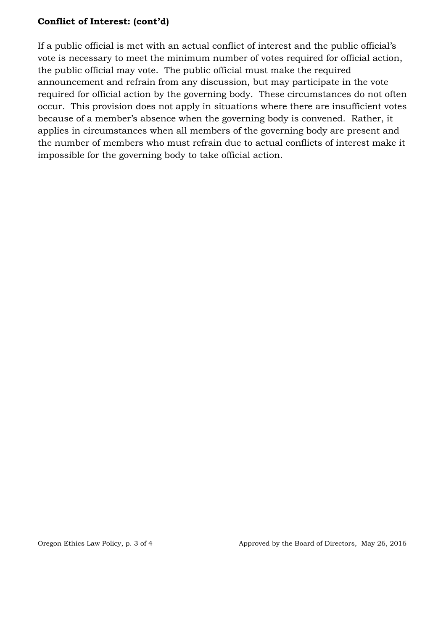## **Conflict of Interest: (cont'd)**

If a public official is met with an actual conflict of interest and the public official's vote is necessary to meet the minimum number of votes required for official action, the public official may vote. The public official must make the required announcement and refrain from any discussion, but may participate in the vote required for official action by the governing body. These circumstances do not often occur. This provision does not apply in situations where there are insufficient votes because of a member's absence when the governing body is convened. Rather, it applies in circumstances when all members of the governing body are present and the number of members who must refrain due to actual conflicts of interest make it impossible for the governing body to take official action.